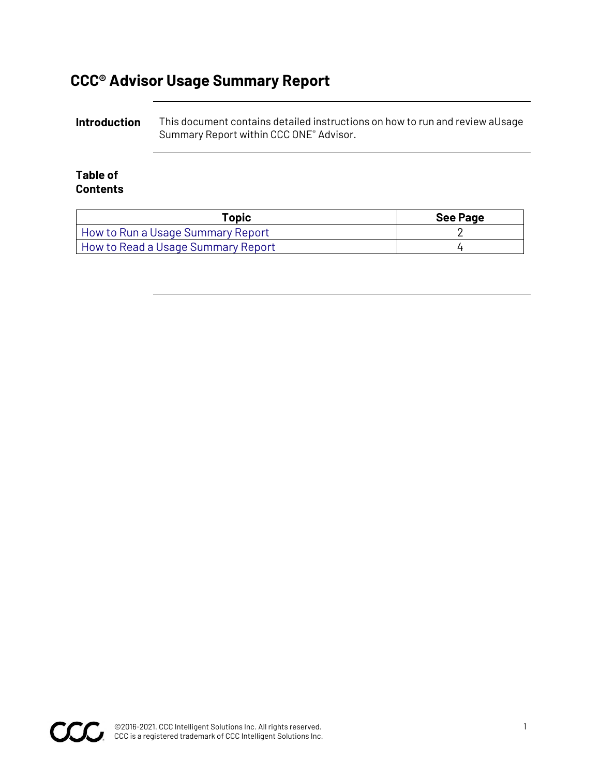## **CCC® Advisor Usage Summary Report**

**Introduction** This document contains detailed instructions on how to run and review aUsage Summary Report within CCC ONE® Advisor.

#### **Table of Contents**

| Topic                              | <b>See Page</b> |
|------------------------------------|-----------------|
| How to Run a Usage Summary Report  |                 |
| How to Read a Usage Summary Report |                 |

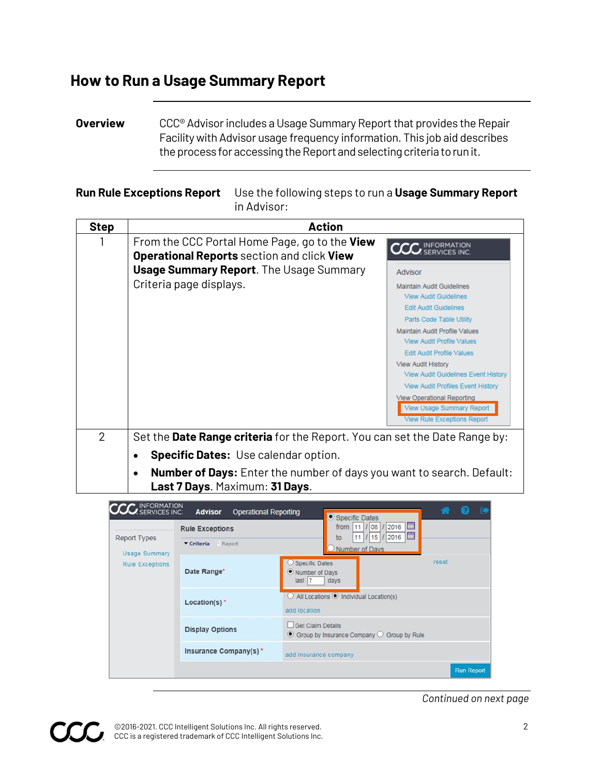## <span id="page-1-0"></span>**How to Run a Usage Summary Report**

**Overview** CCC<sup>®</sup> Advisor includes a Usage Summary Report that provides the Repair Facility with Advisor usage frequency information. This job aid describes the process for accessing the Report and selecting criteriato runit.

#### **Run Rule Exceptions Report** Use the following steps to run a **Usage Summary Report**  in Advisor:

| <b>Step</b>    | <b>Action</b>                                                                                                                |
|----------------|------------------------------------------------------------------------------------------------------------------------------|
|                | From the CCC Portal Home Page, go to the View<br><b>CCC</b> INFORMATION<br><b>Operational Reports</b> section and click View |
|                | <b>Usage Summary Report.</b> The Usage Summary<br>Advisor                                                                    |
|                | Criteria page displays.<br><b>Maintain Audit Guidelines</b><br><b>View Audit Guidelines</b>                                  |
|                | <b>Edit Audit Guidelines</b><br>Parts Code Table Utility                                                                     |
|                | Maintain Audit Profile Values<br><b>View Audit Profile Values</b>                                                            |
|                | <b>Edit Audit Profile Values</b>                                                                                             |
|                | <b>View Audit History</b><br><b>View Audit Guidelines Event History</b>                                                      |
|                | <b>View Audit Profiles Event History</b>                                                                                     |
|                | <b>View Operational Reporting</b><br><b>View Usage Summary Report</b><br><b>View Rule Exceptions Report</b>                  |
| $\overline{2}$ | Set the Date Range criteria for the Report. You can set the Date Range by:                                                   |
|                | <b>Specific Dates:</b> Use calendar option.                                                                                  |
|                | <b>Number of Days:</b> Enter the number of days you want to search. Default:<br>$\bullet$<br>Last 7 Days. Maximum: 31 Days.  |



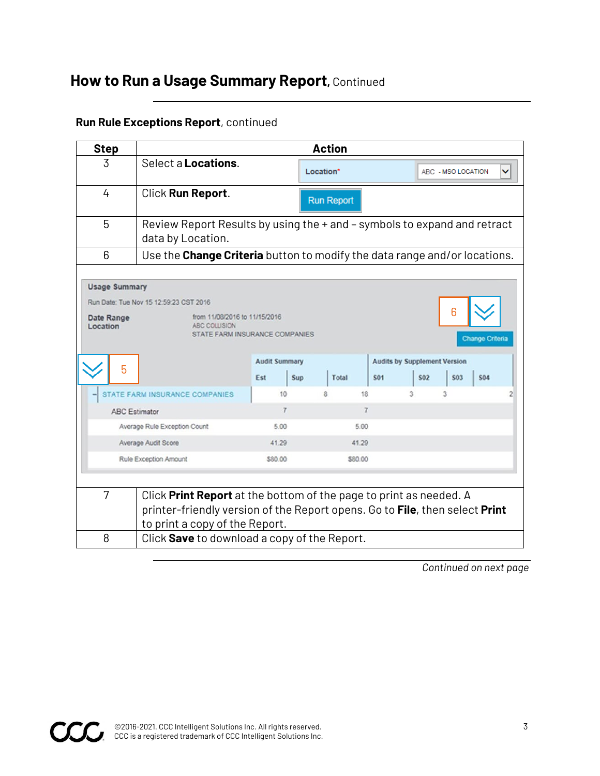## **How to Run a Usage Summary Report,** Continued

### **Run Rule Exceptions Report**, continued

| <b>Step</b>                 | <b>Action</b>                                                                                                                                                                                                                                      |                                   |                 |                   |                                                        |            |                    |                                      |
|-----------------------------|----------------------------------------------------------------------------------------------------------------------------------------------------------------------------------------------------------------------------------------------------|-----------------------------------|-----------------|-------------------|--------------------------------------------------------|------------|--------------------|--------------------------------------|
| 3                           | Select a <b>Locations</b> .                                                                                                                                                                                                                        |                                   | Location*       |                   |                                                        |            | ABC - MSO LOCATION | v                                    |
| 4                           | Click Run Report.                                                                                                                                                                                                                                  |                                   |                 | <b>Run Report</b> |                                                        |            |                    |                                      |
| 5                           | Review Report Results by using the + and - symbols to expand and retract<br>data by Location.                                                                                                                                                      |                                   |                 |                   |                                                        |            |                    |                                      |
| 6                           | Use the Change Criteria button to modify the data range and/or locations.                                                                                                                                                                          |                                   |                 |                   |                                                        |            |                    |                                      |
| Date Range<br>Location<br>5 | Run Date: Tue Nov 15 12:59:23 CST 2016<br>from 11/08/2016 to 11/15/2016<br>ABC COLLISION<br>STATE FARM INSURANCE COMPANIES<br><b>STATE FARM INSURANCE COMPANIES</b>                                                                                | <b>Audit Summary</b><br>Est<br>10 | <b>Sup</b><br>Ř | Total<br>18       | <b>Audits by Supplement Version</b><br><b>S01</b><br>3 | <b>S02</b> | 6<br>\$03<br>3     | <b>Change Criteria</b><br><b>S04</b> |
|                             | <b>ABC Estimator</b>                                                                                                                                                                                                                               | $\overline{7}$                    |                 | $\overline{7}$    |                                                        |            |                    |                                      |
|                             | Average Rule Exception Count                                                                                                                                                                                                                       | 5.00                              |                 | 5.00              |                                                        |            |                    |                                      |
|                             | Average Audit Score<br>Rule Exception Amount                                                                                                                                                                                                       | 41.29<br>\$80.00                  |                 | 41.29<br>\$80.00  |                                                        |            |                    |                                      |
| 7<br>8                      | Click Print Report at the bottom of the page to print as needed. A<br>printer-friendly version of the Report opens. Go to <b>File</b> , then select <b>Print</b><br>to print a copy of the Report.<br>Click Save to download a copy of the Report. |                                   |                 |                   |                                                        |            |                    |                                      |

CCC.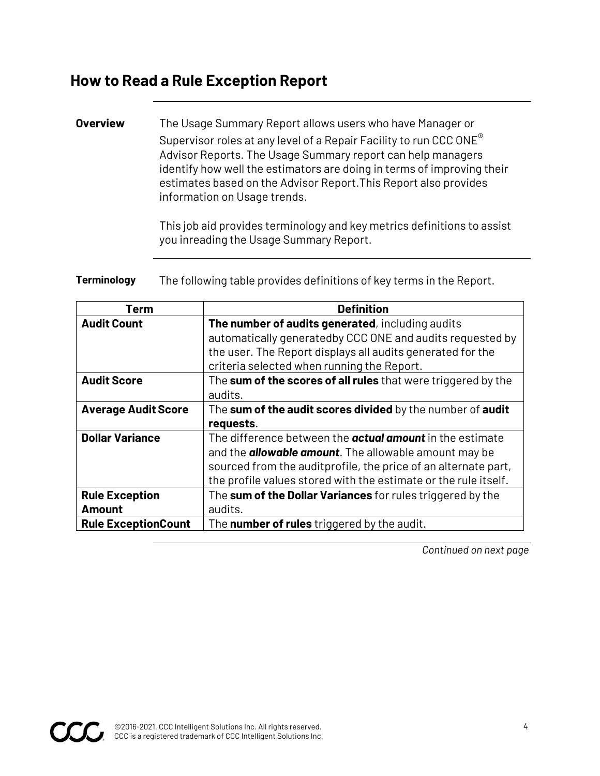### <span id="page-3-0"></span>**How to Read a Rule Exception Report**

#### **Overview** The Usage Summary Report allows users who have Manager or Supervisor roles at any level of a Repair Facility to run CCC ONE® Advisor Reports. The Usage Summary report can help managers identify how well the estimators are doing in terms of improving their estimates based on the Advisor Report.This Report also provides information on Usage trends.

This job aid provides terminology and key metrics definitions to assist you inreading the Usage Summary Report.

**Terminology** The following table provides definitions of key terms in the Report.

| Term                                   | <b>Definition</b>                                                                                                                                                                                                                                                     |
|----------------------------------------|-----------------------------------------------------------------------------------------------------------------------------------------------------------------------------------------------------------------------------------------------------------------------|
| <b>Audit Count</b>                     | The number of audits generated, including audits<br>automatically generatedby CCC ONE and audits requested by                                                                                                                                                         |
|                                        | the user. The Report displays all audits generated for the<br>criteria selected when running the Report.                                                                                                                                                              |
| <b>Audit Score</b>                     | The sum of the scores of all rules that were triggered by the<br>audits.                                                                                                                                                                                              |
| <b>Average Audit Score</b>             | The sum of the audit scores divided by the number of audit<br>requests.                                                                                                                                                                                               |
| <b>Dollar Variance</b>                 | The difference between the <b>actual amount</b> in the estimate<br>and the <b>allowable amount</b> . The allowable amount may be<br>sourced from the auditprofile, the price of an alternate part,<br>the profile values stored with the estimate or the rule itself. |
| <b>Rule Exception</b><br><b>Amount</b> | The sum of the Dollar Variances for rules triggered by the<br>audits.                                                                                                                                                                                                 |
| <b>Rule ExceptionCount</b>             | The <b>number of rules</b> triggered by the audit.                                                                                                                                                                                                                    |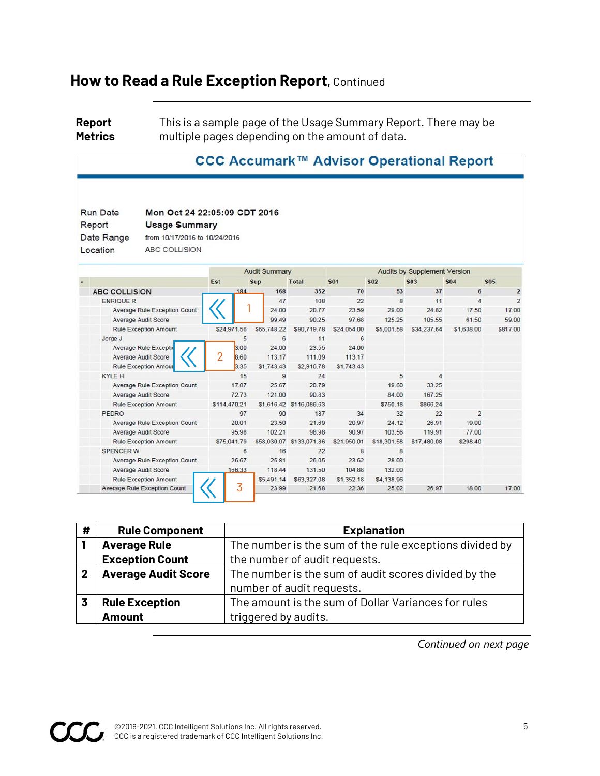## **How to Read a Rule Exception Report,** Continued

**Report Metrics** This is a sample page of the Usage Summary Report. There may be multiple pages depending on the amount of data.

|                      |                                     |     |                      |             |                          |             |                                     | CCC Accumark™ Advisor Operational Report |                       |              |  |
|----------------------|-------------------------------------|-----|----------------------|-------------|--------------------------|-------------|-------------------------------------|------------------------------------------|-----------------------|--------------|--|
| <b>Run Date</b>      | Mon Oct 24 22:05:09 CDT 2016        |     |                      |             |                          |             |                                     |                                          |                       |              |  |
| Report               | <b>Usage Summary</b>                |     |                      |             |                          |             |                                     |                                          |                       |              |  |
| Date Range           | from 10/17/2016 to 10/24/2016       |     |                      |             |                          |             |                                     |                                          |                       |              |  |
|                      |                                     |     |                      |             |                          |             |                                     |                                          |                       |              |  |
| Location             | ABC COLLISION                       |     |                      |             |                          |             |                                     |                                          |                       |              |  |
|                      |                                     |     | <b>Audit Summary</b> |             |                          |             | <b>Audits by Supplement Version</b> |                                          |                       |              |  |
|                      |                                     | Est |                      | <b>Sup</b>  | <b>Total</b>             | <b>S01</b>  | <b>S02</b>                          | <b>S03</b>                               | <b>S04</b>            | <b>S05</b>   |  |
| <b>ABC COLLISION</b> |                                     |     | 184                  | 168         | 352                      | 70          | 53                                  | 37                                       | 6                     | $\mathbf{2}$ |  |
| <b>ENRIQUE R</b>     |                                     |     |                      | 47          | 108                      | 22          | 8                                   | 11                                       | $\boldsymbol{\Delta}$ |              |  |
|                      | <b>Average Rule Exception Count</b> |     |                      | 24.00       | 20.77                    | 23.59       | 29.00                               | 24.82                                    | 17.50                 | 17.00        |  |
| Average Audit Score  |                                     |     |                      | 99.49       | 90.25                    | 97.68       | 125.25                              | 105.55                                   | 61.50                 | 59.00        |  |
|                      | <b>Rule Exception Amount</b>        |     | \$24,971.56          | \$65,748.22 | \$90,719.78              | \$24,054.00 | \$5,001.58                          | \$34,237.64                              | \$1,638.00            | \$817.00     |  |
| Jorge J              |                                     |     | 5                    | 6           | 11                       | 6           |                                     |                                          |                       |              |  |
|                      | <b>Average Rule Exceptio</b>        |     | 3.00                 | 24.00       | 23.55                    | 24.00       |                                     |                                          |                       |              |  |
|                      | Average Audit Score                 | 2   | <b>B.60</b>          | 113.17      | 111.09                   | 113.17      |                                     |                                          |                       |              |  |
|                      | <b>Rule Exception Amour</b>         |     | 3.35                 | \$1,743.43  | \$2,916.78               | \$1,743.43  |                                     |                                          |                       |              |  |
| <b>KYLE H</b>        |                                     |     | 15                   | 9           | 24                       |             | 5                                   | $\overline{4}$                           |                       |              |  |
|                      | <b>Average Rule Exception Count</b> |     | 17.87                | 25.67       | 20.79                    |             | 19.60                               | 33.25                                    |                       |              |  |
|                      | Average Audit Score                 |     | 72.73                | 121.00      | 90.83                    |             | 84.00                               | 167.25                                   |                       |              |  |
|                      | <b>Rule Exception Amount</b>        |     | \$114,470.21         |             | \$1,616.42 \$116,086.63  |             | \$750.18                            | \$866.24                                 |                       |              |  |
| PEDRO                |                                     |     | 97                   | 90          | 187                      | 34          | 32                                  | 22                                       | $\overline{2}$        |              |  |
|                      | <b>Average Rule Exception Count</b> |     | 20.01                | 23.50       | 21.69                    | 20.97       | 24.12                               | 26.91                                    | 19.00                 |              |  |
| Average Audit Score  |                                     |     | 95.98                | 102.21      | 98.98                    | 90.97       | 103.56                              | 119.91                                   | 77.00                 |              |  |
|                      | <b>Rule Exception Amount</b>        |     | \$75.041.79          |             | \$58,030.07 \$133,071.86 | \$21,950.01 | \$18,301.58                         | \$17,480.08                              | \$298.40              |              |  |
| <b>SPENCER W</b>     |                                     |     | 6                    | 16          | 22                       | 8           | 8                                   |                                          |                       |              |  |
|                      | <b>Average Rule Exception Count</b> |     | 26.67                | 25.81       | 26.05                    | 23.62       | 28.00                               |                                          |                       |              |  |
|                      | Average Audit Score                 |     | 166.33               | 118.44      | 131.50                   | 104.88      | 132.00                              |                                          |                       |              |  |
|                      | <b>Rule Exception Amount</b>        |     |                      | \$5,491.14  | \$63,327.08              | \$1,352.18  | \$4,138.96                          |                                          |                       |              |  |
|                      | <b>Average Rule Exception Count</b> |     | 3                    | 23.99       | 21.68                    | 22.36       | 25.02                               | 26.97                                    | 18.00                 | 17.00        |  |

| #           | <b>Rule Component</b>      | <b>Explanation</b>                                      |
|-------------|----------------------------|---------------------------------------------------------|
|             | <b>Average Rule</b>        | The number is the sum of the rule exceptions divided by |
|             | <b>Exception Count</b>     | the number of audit requests.                           |
| $\mathbf 2$ | <b>Average Audit Score</b> | The number is the sum of audit scores divided by the    |
|             |                            | number of audit requests.                               |
|             | <b>Rule Exception</b>      | The amount is the sum of Dollar Variances for rules     |
|             | <b>Amount</b>              | triggered by audits.                                    |